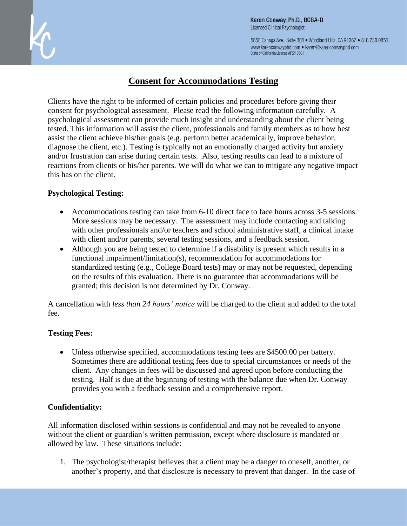5850 Canoga Ave., Suite 308 . Woodland Hills, CA 91367 . 818.730.0855 www.karenconwayphd.com . karen@karenconwayphd.com State of California License #PSY 8501

# **Consent for Accommodations Testing**

Clients have the right to be informed of certain policies and procedures before giving their consent for psychological assessment. Please read the following information carefully. A psychological assessment can provide much insight and understanding about the client being tested. This information will assist the client, professionals and family members as to how best assist the client achieve his/her goals (e.g. perform better academically, improve behavior, diagnose the client, etc.). Testing is typically not an emotionally charged activity but anxiety and/or frustration can arise during certain tests. Also, testing results can lead to a mixture of reactions from clients or his/her parents. We will do what we can to mitigate any negative impact this has on the client.

## **Psychological Testing:**

- Accommodations testing can take from 6-10 direct face to face hours across 3-5 sessions. More sessions may be necessary. The assessment may include contacting and talking with other professionals and/or teachers and school administrative staff, a clinical intake with client and/or parents, several testing sessions, and a feedback session.
- Although you are being tested to determine if a disability is present which results in a functional impairment/limitation(s), recommendation for accommodations for standardized testing (e.g., College Board tests) may or may not be requested, depending on the results of this evaluation. There is no guarantee that accommodations will be granted; this decision is not determined by Dr. Conway.

A cancellation with *less than 24 hours' notice* will be charged to the client and added to the total fee.

### **Testing Fees:**

 Unless otherwise specified, accommodations testing fees are \$4500.00 per battery. Sometimes there are additional testing fees due to special circumstances or needs of the client. Any changes in fees will be discussed and agreed upon before conducting the testing. Half is due at the beginning of testing with the balance due when Dr. Conway provides you with a feedback session and a comprehensive report.

### **Confidentiality:**

All information disclosed within sessions is confidential and may not be revealed to anyone without the client or guardian's written permission, except where disclosure is mandated or allowed by law. These situations include:

1. The psychologist/therapist believes that a client may be a danger to oneself, another, or another's property, and that disclosure is necessary to prevent that danger. In the case of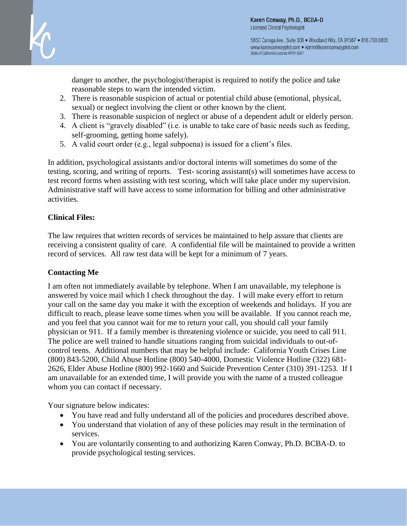

5850 Canoga Ave., Suite 308 . Woodland Hills, CA 91367 . 818.730.0855 www.karenconwayphd.com . karen@karenconwayphd.com State of California License #PSY 8501

danger to another, the psychologist/therapist is required to notify the police and take reasonable steps to warn the intended victim.

- 2. There is reasonable suspicion of actual or potential child abuse (emotional, physical, sexual) or neglect involving the client or other known by the client.
- 3. There is reasonable suspicion of neglect or abuse of a dependent adult or elderly person.
- 4. A client is "gravely disabled" (i.e. is unable to take care of basic needs such as feeding, self-grooming, getting home safely).
- 5. A valid court order (e.g., legal subpoena) is issued for a client's files.

In addition, psychological assistants and/or doctoral interns will sometimes do some of the testing, scoring, and writing of reports. Test- scoring assistant(s) will sometimes have access to test record forms when assisting with test scoring, which will take place under my supervision. Administrative staff will have access to some information for billing and other administrative activities.

### **Clinical Files:**

The law requires that written records of services be maintained to help assure that clients are receiving a consistent quality of care. A confidential file will be maintained to provide a written record of services. All raw test data will be kept for a minimum of 7 years.

### **Contacting Me**

I am often not immediately available by telephone. When I am unavailable, my telephone is answered by voice mail which I check throughout the day. I will make every effort to return your call on the same day you make it with the exception of weekends and holidays. If you are difficult to reach, please leave some times when you will be available. If you cannot reach me, and you feel that you cannot wait for me to return your call, you should call your family physician or 911. If a family member is threatening violence or suicide, you need to call 911. The police are well trained to handle situations ranging from suicidal individuals to out-ofcontrol teens. Additional numbers that may be helpful include: California Youth Crises Line (800) 843-5200, Child Abuse Hotline (800) 540-4000, Domestic Violence Hotline (322) 681- 2626, Elder Abuse Hotline (800) 992-1660 and Suicide Prevention Center (310) 391-1253. If I am unavailable for an extended time, I will provide you with the name of a trusted colleague whom you can contact if necessary.

Your signature below indicates:

- You have read and fully understand all of the policies and procedures described above.
- You understand that violation of any of these policies may result in the termination of services.
- You are voluntarily consenting to and authorizing Karen Conway, Ph.D. BCBA-D. to provide psychological testing services.